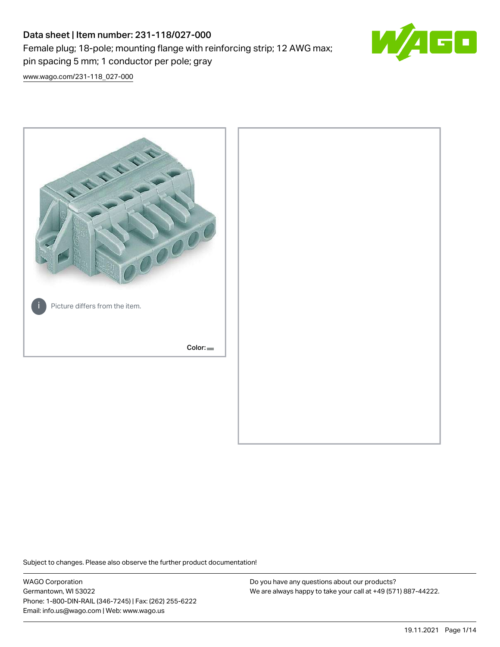# Data sheet | Item number: 231-118/027-000 Female plug; 18-pole; mounting flange with reinforcing strip; 12 AWG max; pin spacing 5 mm; 1 conductor per pole; gray



[www.wago.com/231-118\\_027-000](http://www.wago.com/231-118_027-000)



Subject to changes. Please also observe the further product documentation!

WAGO Corporation Germantown, WI 53022 Phone: 1-800-DIN-RAIL (346-7245) | Fax: (262) 255-6222 Email: info.us@wago.com | Web: www.wago.us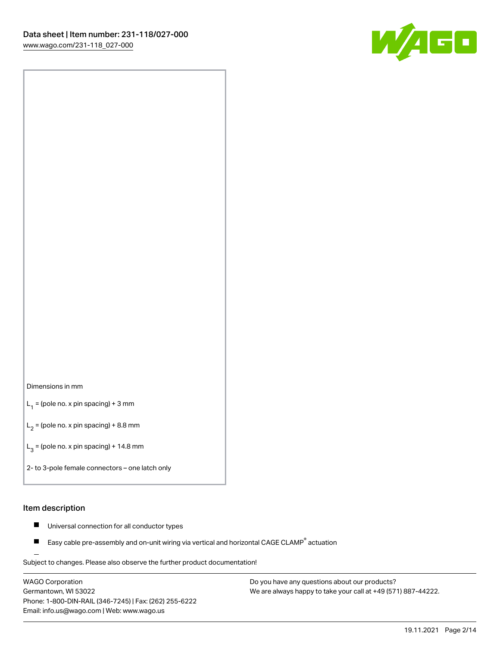

#### Dimensions in mm

 $L_1$  = (pole no. x pin spacing) + 3 mm

 $L_2$  = (pole no. x pin spacing) + 8.8 mm

 $L_3$  = (pole no. x pin spacing) + 14.8 mm

2- to 3-pole female connectors – one latch only

### Item description

- Universal connection for all conductor types  $\blacksquare$
- Easy cable pre-assembly and on-unit wiring via vertical and horizontal CAGE CLAMP<sup>®</sup> actuation П

.<br>Subject to changes. Please also observe the further product documentation!

WAGO Corporation Germantown, WI 53022 Phone: 1-800-DIN-RAIL (346-7245) | Fax: (262) 255-6222 Email: info.us@wago.com | Web: www.wago.us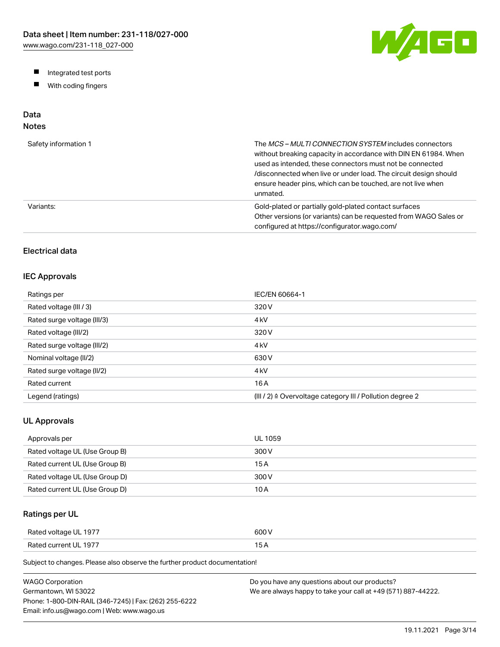W/AGO

- Integrated test ports
- $\blacksquare$ With coding fingers

# Data

# Notes

| Safety information 1 | The MCS-MULTI CONNECTION SYSTEM includes connectors<br>without breaking capacity in accordance with DIN EN 61984. When<br>used as intended, these connectors must not be connected<br>/disconnected when live or under load. The circuit design should<br>ensure header pins, which can be touched, are not live when<br>unmated. |
|----------------------|-----------------------------------------------------------------------------------------------------------------------------------------------------------------------------------------------------------------------------------------------------------------------------------------------------------------------------------|
| Variants:            | Gold-plated or partially gold-plated contact surfaces<br>Other versions (or variants) can be requested from WAGO Sales or<br>configured at https://configurator.wago.com/                                                                                                                                                         |

# Electrical data

## IEC Approvals

| Ratings per                 | IEC/EN 60664-1                                                        |
|-----------------------------|-----------------------------------------------------------------------|
| Rated voltage (III / 3)     | 320 V                                                                 |
| Rated surge voltage (III/3) | 4 <sub>kV</sub>                                                       |
| Rated voltage (III/2)       | 320 V                                                                 |
| Rated surge voltage (III/2) | 4 <sub>kV</sub>                                                       |
| Nominal voltage (II/2)      | 630 V                                                                 |
| Rated surge voltage (II/2)  | 4 <sub>kV</sub>                                                       |
| Rated current               | 16 A                                                                  |
| Legend (ratings)            | $(III / 2)$ $\triangle$ Overvoltage category III / Pollution degree 2 |

## UL Approvals

| Approvals per                  | <b>UL 1059</b> |
|--------------------------------|----------------|
| Rated voltage UL (Use Group B) | 300 V          |
| Rated current UL (Use Group B) | 15 A           |
| Rated voltage UL (Use Group D) | 300 V          |
| Rated current UL (Use Group D) | 10 A           |

# Ratings per UL

| Rated voltage UL 1977 | 600 V  |
|-----------------------|--------|
| Rated current UL 1977 | $\sim$ |

Subject to changes. Please also observe the further product documentation!

| WAGO Corporation                                       | Do you have any questions about our products?                 |
|--------------------------------------------------------|---------------------------------------------------------------|
| Germantown. WI 53022                                   | We are always happy to take your call at +49 (571) 887-44222. |
| Phone: 1-800-DIN-RAIL (346-7245)   Fax: (262) 255-6222 |                                                               |
| Email: info.us@wago.com   Web: www.wago.us             |                                                               |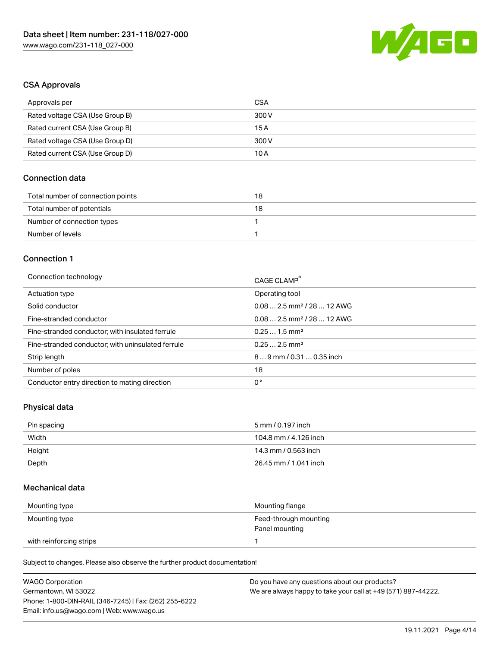

### CSA Approvals

| Approvals per                   | CSA   |
|---------------------------------|-------|
| Rated voltage CSA (Use Group B) | 300 V |
| Rated current CSA (Use Group B) | 15 A  |
| Rated voltage CSA (Use Group D) | 300 V |
| Rated current CSA (Use Group D) | 10 A  |

## Connection data

| Total number of connection points | 18 |
|-----------------------------------|----|
| Total number of potentials        | 18 |
| Number of connection types        |    |
| Number of levels                  |    |

#### Connection 1

| Connection technology                             | CAGE CLAMP®                            |
|---------------------------------------------------|----------------------------------------|
| Actuation type                                    | Operating tool                         |
| Solid conductor                                   | $0.082.5$ mm <sup>2</sup> / 28  12 AWG |
| Fine-stranded conductor                           | $0.082.5$ mm <sup>2</sup> / 28  12 AWG |
| Fine-stranded conductor; with insulated ferrule   | $0.251.5$ mm <sup>2</sup>              |
| Fine-stranded conductor; with uninsulated ferrule | $0.252.5$ mm <sup>2</sup>              |
| Strip length                                      | $89$ mm / 0.31  0.35 inch              |
| Number of poles                                   | 18                                     |
| Conductor entry direction to mating direction     | 0°                                     |

## Physical data

| Pin spacing | 5 mm / 0.197 inch     |
|-------------|-----------------------|
| Width       | 104.8 mm / 4.126 inch |
| Height      | 14.3 mm / 0.563 inch  |
| Depth       | 26.45 mm / 1.041 inch |

## Mechanical data

| Mounting type           | Mounting flange                         |
|-------------------------|-----------------------------------------|
| Mounting type           | Feed-through mounting<br>Panel mounting |
| with reinforcing strips |                                         |

Subject to changes. Please also observe the further product documentation!

| <b>WAGO Corporation</b>                                | Do you have any questions about our products?                 |
|--------------------------------------------------------|---------------------------------------------------------------|
| Germantown. WI 53022                                   | We are always happy to take your call at +49 (571) 887-44222. |
| Phone: 1-800-DIN-RAIL (346-7245)   Fax: (262) 255-6222 |                                                               |
| Email: info.us@wago.com   Web: www.wago.us             |                                                               |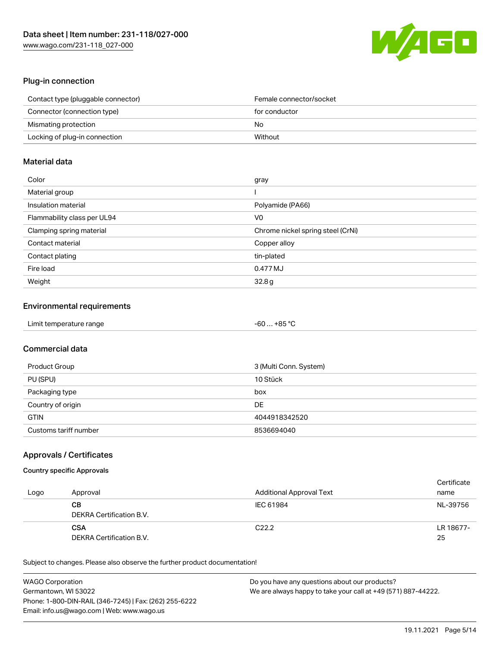

# Plug-in connection

| Contact type (pluggable connector) | Female connector/socket |
|------------------------------------|-------------------------|
| Connector (connection type)        | for conductor           |
| Mismating protection               | No                      |
| Locking of plug-in connection      | Without                 |

## Material data

| Color                       | gray                              |
|-----------------------------|-----------------------------------|
| Material group              |                                   |
| Insulation material         | Polyamide (PA66)                  |
| Flammability class per UL94 | V <sub>0</sub>                    |
| Clamping spring material    | Chrome nickel spring steel (CrNi) |
| Contact material            | Copper alloy                      |
| Contact plating             | tin-plated                        |
| Fire load                   | 0.477 MJ                          |
| Weight                      | 32.8g                             |

## Environmental requirements

| Limit temperature range | -60  +85 °C |
|-------------------------|-------------|
|-------------------------|-------------|

# Commercial data

| Product Group         | 3 (Multi Conn. System) |
|-----------------------|------------------------|
| PU (SPU)              | 10 Stück               |
| Packaging type        | box                    |
| Country of origin     | DE                     |
| <b>GTIN</b>           | 4044918342520          |
| Customs tariff number | 8536694040             |

## Approvals / Certificates

#### Country specific Approvals

| Logo | Approval                               | Additional Approval Text | Certificate<br>name |
|------|----------------------------------------|--------------------------|---------------------|
|      | CВ<br>DEKRA Certification B.V.         | IEC 61984                | NL-39756            |
|      | <b>CSA</b><br>DEKRA Certification B.V. | C <sub>22.2</sub>        | LR 18677-<br>25     |

Subject to changes. Please also observe the further product documentation!

| <b>WAGO Corporation</b>                                | Do you have any questions about our products?                 |
|--------------------------------------------------------|---------------------------------------------------------------|
| Germantown, WI 53022                                   | We are always happy to take your call at +49 (571) 887-44222. |
| Phone: 1-800-DIN-RAIL (346-7245)   Fax: (262) 255-6222 |                                                               |
| Email: info.us@wago.com   Web: www.wago.us             |                                                               |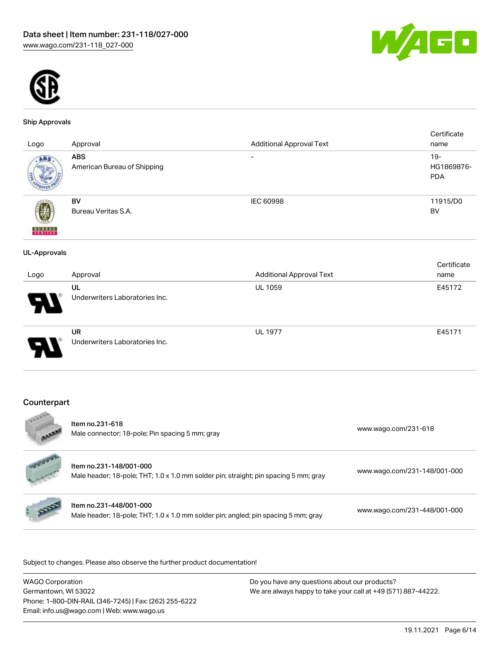



#### Ship Approvals

|                          |                                |                                 | Certificate |
|--------------------------|--------------------------------|---------------------------------|-------------|
| Logo                     | Approval                       | <b>Additional Approval Text</b> | name        |
| ABS                      | <b>ABS</b>                     | $\overline{\phantom{0}}$        | $19 -$      |
|                          | American Bureau of Shipping    |                                 | HG1869876-  |
|                          |                                |                                 | <b>PDA</b>  |
|                          |                                |                                 |             |
|                          | BV                             | <b>IEC 60998</b>                | 11915/D0    |
|                          | Bureau Veritas S.A.            |                                 | BV          |
|                          |                                |                                 |             |
| <b>BUNEAU</b><br>VERITAS |                                |                                 |             |
|                          |                                |                                 |             |
| <b>UL-Approvals</b>      |                                |                                 |             |
|                          |                                |                                 | Certificate |
| Logo                     | Approval                       | <b>Additional Approval Text</b> | name        |
|                          | UL                             | <b>UL 1059</b>                  | E45172      |
|                          | Underwriters Laboratories Inc. |                                 |             |
|                          |                                |                                 |             |
|                          |                                |                                 |             |
|                          | <b>UR</b>                      | <b>UL 1977</b>                  | E45171      |
|                          | Underwriters Laboratories Inc. |                                 |             |
|                          |                                |                                 |             |
|                          |                                |                                 |             |
|                          |                                |                                 |             |

# Counterpart

| COOOM                                   | Item no.231-618<br>Male connector; 18-pole; Pin spacing 5 mm; gray                                              | www.wago.com/231-618         |
|-----------------------------------------|-----------------------------------------------------------------------------------------------------------------|------------------------------|
| Salatania (m. 1911)<br>Linguage Carrier | Item no.231-148/001-000<br>Male header; 18-pole; THT; 1.0 x 1.0 mm solder pin; straight; pin spacing 5 mm; gray | www.wago.com/231-148/001-000 |
|                                         | Item no.231-448/001-000<br>Male header; 18-pole; THT; 1.0 x 1.0 mm solder pin; angled; pin spacing 5 mm; gray   | www.wago.com/231-448/001-000 |
|                                         |                                                                                                                 |                              |

.<br>Subject to changes. Please also observe the further product documentation!

| <b>WAGO Corporation</b>                                | Do you have any questions about our products?                 |
|--------------------------------------------------------|---------------------------------------------------------------|
| Germantown, WI 53022                                   | We are always happy to take your call at +49 (571) 887-44222. |
| Phone: 1-800-DIN-RAIL (346-7245)   Fax: (262) 255-6222 |                                                               |
| Email: info.us@wago.com   Web: www.wago.us             |                                                               |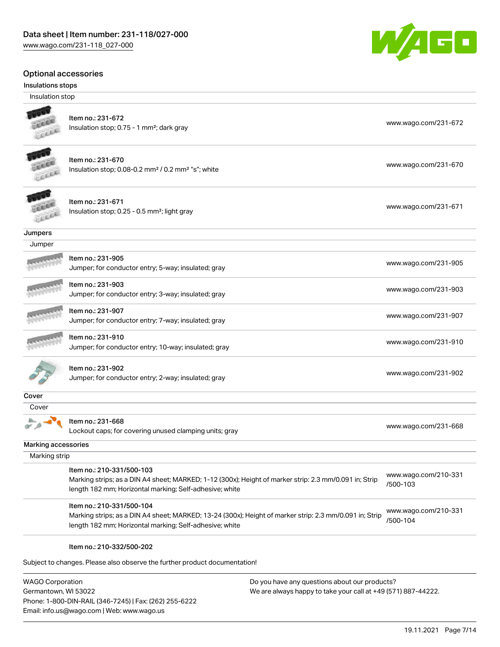### Optional accessories

#### Insulations stops

Insulation stop



#### Item no.: 231-672 Insulation stop; 0.75 - 1 mm<sup>2</sup>; dark gray [www.wago.com/231-672](http://www.wago.com/231-672) www.wago.com/231-672

Item no.: 231-670 Insulation stop; 0.08-0.2 mm<sup>2</sup> / 0.2 mm<sup>2</sup> "s"; white [www.wago.com/231-670](http://www.wago.com/231-670) www.wago.com/231-670



### Item no.: 231-671 Insulation stop; 0.25 - 0.5 mm²; light gray [www.wago.com/231-671](http://www.wago.com/231-671) www.wago.com/231-671

**Jumpers** 

| Jumper |                                                                           |                      |
|--------|---------------------------------------------------------------------------|----------------------|
|        | Item no.: 231-905<br>Jumper; for conductor entry; 5-way; insulated; gray  | www.wago.com/231-905 |
|        | Item no.: 231-903<br>Jumper; for conductor entry; 3-way; insulated; gray  | www.wago.com/231-903 |
|        | Item no.: 231-907<br>Jumper; for conductor entry; 7-way; insulated; gray  | www.wago.com/231-907 |
|        | Item no.: 231-910<br>Jumper; for conductor entry; 10-way; insulated; gray | www.wago.com/231-910 |
|        | Item no.: 231-902<br>Jumper; for conductor entry; 2-way; insulated; gray  | www.wago.com/231-902 |

**Cover** 

Cover

 $\sum_{i=1}^{n}$ Item no.: 231-668

Lockout caps; for covering unused clamping units; gray [www.wago.com/231-668](http://www.wago.com/231-668)

Marking accessories

 Marking strip Item no.: 210-331/500-103 Marking strips; as a DIN A4 sheet; MARKED; 1-12 (300x); Height of marker strip: 2.3 mm/0.091 in; Strip length 182 mm; Horizontal marking; Self-adhesive; white [www.wago.com/210-331](http://www.wago.com/210-331/500-103) [/500-103](http://www.wago.com/210-331/500-103)

Item no.: 210-331/500-104

Marking strips; as a DIN A4 sheet; MARKED; 13-24 (300x); Height of marker strip: 2.3 mm/0.091 in; Strip length 182 mm; Horizontal marking; Self-adhesive; white [www.wago.com/210-331](http://www.wago.com/210-331/500-104) [/500-104](http://www.wago.com/210-331/500-104)

#### Item no.: 210-332/500-202

Subject to changes. Please also observe the further product documentation!

WAGO Corporation Germantown, WI 53022 Phone: 1-800-DIN-RAIL (346-7245) | Fax: (262) 255-6222 Email: info.us@wago.com | Web: www.wago.us

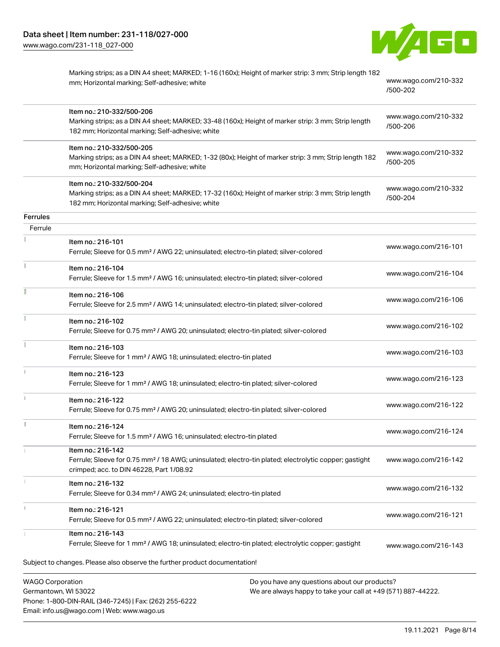Phone: 1-800-DIN-RAIL (346-7245) | Fax: (262) 255-6222

Email: info.us@wago.com | Web: www.wago.us



|                         | Marking strips; as a DIN A4 sheet; MARKED; 1-16 (160x); Height of marker strip: 3 mm; Strip length 182<br>mm; Horizontal marking; Self-adhesive; white                               | www.wago.com/210-332<br>/500-202                              |
|-------------------------|--------------------------------------------------------------------------------------------------------------------------------------------------------------------------------------|---------------------------------------------------------------|
|                         | Item no.: 210-332/500-206<br>Marking strips; as a DIN A4 sheet; MARKED; 33-48 (160x); Height of marker strip: 3 mm; Strip length<br>182 mm; Horizontal marking; Self-adhesive; white | www.wago.com/210-332<br>/500-206                              |
|                         | Item no.: 210-332/500-205<br>Marking strips; as a DIN A4 sheet; MARKED; 1-32 (80x); Height of marker strip: 3 mm; Strip length 182<br>mm; Horizontal marking; Self-adhesive; white   | www.wago.com/210-332<br>/500-205                              |
|                         | Item no.: 210-332/500-204<br>Marking strips; as a DIN A4 sheet; MARKED; 17-32 (160x); Height of marker strip: 3 mm; Strip length<br>182 mm; Horizontal marking; Self-adhesive; white | www.wago.com/210-332<br>/500-204                              |
| Ferrules                |                                                                                                                                                                                      |                                                               |
| Ferrule                 |                                                                                                                                                                                      |                                                               |
|                         | Item no.: 216-101<br>Ferrule; Sleeve for 0.5 mm <sup>2</sup> / AWG 22; uninsulated; electro-tin plated; silver-colored                                                               | www.wago.com/216-101                                          |
|                         | Item no.: 216-104<br>Ferrule; Sleeve for 1.5 mm <sup>2</sup> / AWG 16; uninsulated; electro-tin plated; silver-colored                                                               | www.wago.com/216-104                                          |
| ī                       | Item no.: 216-106<br>Ferrule; Sleeve for 2.5 mm <sup>2</sup> / AWG 14; uninsulated; electro-tin plated; silver-colored                                                               | www.wago.com/216-106                                          |
|                         | Item no.: 216-102<br>Ferrule; Sleeve for 0.75 mm <sup>2</sup> / AWG 20; uninsulated; electro-tin plated; silver-colored                                                              | www.wago.com/216-102                                          |
|                         | Item no.: 216-103<br>Ferrule; Sleeve for 1 mm <sup>2</sup> / AWG 18; uninsulated; electro-tin plated                                                                                 | www.wago.com/216-103                                          |
|                         | Item no.: 216-123<br>Ferrule; Sleeve for 1 mm <sup>2</sup> / AWG 18; uninsulated; electro-tin plated; silver-colored                                                                 | www.wago.com/216-123                                          |
|                         | Item no.: 216-122<br>Ferrule; Sleeve for 0.75 mm <sup>2</sup> / AWG 20; uninsulated; electro-tin plated; silver-colored                                                              | www.wago.com/216-122                                          |
|                         | Item no.: 216-124<br>Ferrule; Sleeve for 1.5 mm <sup>2</sup> / AWG 16; uninsulated; electro-tin plated                                                                               | www.wago.com/216-124                                          |
|                         | Item no.: 216-142<br>Ferrule; Sleeve for 0.75 mm <sup>2</sup> / 18 AWG; uninsulated; electro-tin plated; electrolytic copper; gastight<br>crimped; acc. to DIN 46228, Part 1/08.92   | www.wago.com/216-142                                          |
|                         | Item no.: 216-132<br>Ferrule; Sleeve for 0.34 mm <sup>2</sup> / AWG 24; uninsulated; electro-tin plated                                                                              | www.wago.com/216-132                                          |
|                         | Item no.: 216-121<br>Ferrule; Sleeve for 0.5 mm <sup>2</sup> / AWG 22; uninsulated; electro-tin plated; silver-colored                                                               | www.wago.com/216-121                                          |
|                         | Item no.: 216-143<br>Ferrule; Sleeve for 1 mm <sup>2</sup> / AWG 18; uninsulated; electro-tin plated; electrolytic copper; gastight                                                  | www.wago.com/216-143                                          |
|                         | Subject to changes. Please also observe the further product documentation!                                                                                                           |                                                               |
| <b>WAGO Corporation</b> | Do you have any questions about our products?<br>Germantown, WI 53022                                                                                                                | We are always happy to take your call at +49 (571) 887-44222. |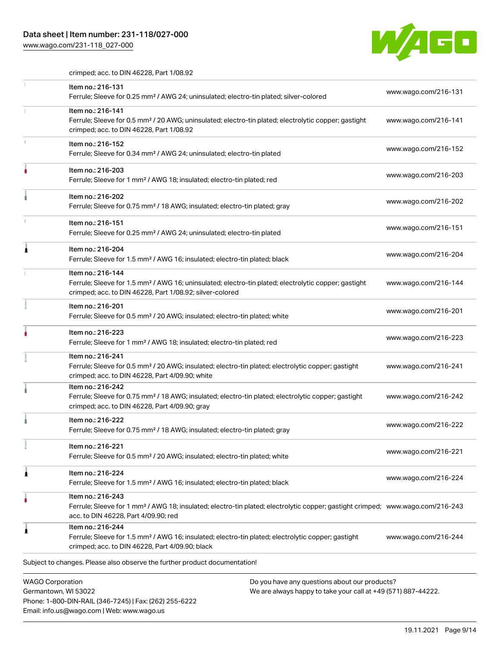# Data sheet | Item number: 231-118/027-000

Email: info.us@wago.com | Web: www.wago.us

[www.wago.com/231-118\\_027-000](http://www.wago.com/231-118_027-000)



crimped; acc. to DIN 46228, Part 1/08.92

|   | Item no.: 216-131<br>Ferrule; Sleeve for 0.25 mm <sup>2</sup> / AWG 24; uninsulated; electro-tin plated; silver-colored                                                                                 | www.wago.com/216-131                                          |
|---|---------------------------------------------------------------------------------------------------------------------------------------------------------------------------------------------------------|---------------------------------------------------------------|
|   | Item no.: 216-141<br>Ferrule; Sleeve for 0.5 mm <sup>2</sup> / 20 AWG; uninsulated; electro-tin plated; electrolytic copper; gastight<br>crimped; acc. to DIN 46228, Part 1/08.92                       | www.wago.com/216-141                                          |
|   | Item no.: 216-152<br>Ferrule; Sleeve for 0.34 mm <sup>2</sup> / AWG 24; uninsulated; electro-tin plated                                                                                                 | www.wago.com/216-152                                          |
|   | Item no.: 216-203<br>Ferrule; Sleeve for 1 mm <sup>2</sup> / AWG 18; insulated; electro-tin plated; red                                                                                                 | www.wago.com/216-203                                          |
|   | Item no.: 216-202<br>Ferrule; Sleeve for 0.75 mm <sup>2</sup> / 18 AWG; insulated; electro-tin plated; gray                                                                                             | www.wago.com/216-202                                          |
|   | Item no.: 216-151<br>Ferrule; Sleeve for 0.25 mm <sup>2</sup> / AWG 24; uninsulated; electro-tin plated                                                                                                 | www.wago.com/216-151                                          |
|   | Item no.: 216-204<br>Ferrule; Sleeve for 1.5 mm <sup>2</sup> / AWG 16; insulated; electro-tin plated; black                                                                                             | www.wago.com/216-204                                          |
|   | Item no.: 216-144<br>Ferrule; Sleeve for 1.5 mm <sup>2</sup> / AWG 16; uninsulated; electro-tin plated; electrolytic copper; gastight<br>crimped; acc. to DIN 46228, Part 1/08.92; silver-colored       | www.wago.com/216-144                                          |
|   | Item no.: 216-201<br>Ferrule; Sleeve for 0.5 mm <sup>2</sup> / 20 AWG; insulated; electro-tin plated; white                                                                                             | www.wago.com/216-201                                          |
|   | Item no.: 216-223<br>Ferrule; Sleeve for 1 mm <sup>2</sup> / AWG 18; insulated; electro-tin plated; red                                                                                                 | www.wago.com/216-223                                          |
|   | Item no.: 216-241<br>Ferrule; Sleeve for 0.5 mm <sup>2</sup> / 20 AWG; insulated; electro-tin plated; electrolytic copper; gastight<br>crimped; acc. to DIN 46228, Part 4/09.90; white                  | www.wago.com/216-241                                          |
|   | Item no.: 216-242<br>Ferrule; Sleeve for 0.75 mm <sup>2</sup> / 18 AWG; insulated; electro-tin plated; electrolytic copper; gastight<br>crimped; acc. to DIN 46228, Part 4/09.90; gray                  | www.wago.com/216-242                                          |
|   | Item no.: 216-222<br>Ferrule; Sleeve for 0.75 mm <sup>2</sup> / 18 AWG; insulated; electro-tin plated; gray                                                                                             | www.wago.com/216-222                                          |
| ÷ | Item no.: 216-221<br>Ferrule; Sleeve for 0.5 mm <sup>2</sup> / 20 AWG; insulated; electro-tin plated; white                                                                                             | www.wago.com/216-221                                          |
| ٨ | Item no.: 216-224<br>Ferrule; Sleeve for 1.5 mm <sup>2</sup> / AWG 16; insulated; electro-tin plated; black                                                                                             | www.wago.com/216-224                                          |
|   | Item no.: 216-243<br>Ferrule; Sleeve for 1 mm <sup>2</sup> / AWG 18; insulated; electro-tin plated; electrolytic copper; gastight crimped; www.wago.com/216-243<br>acc. to DIN 46228, Part 4/09.90; red |                                                               |
|   | Item no.: 216-244<br>Ferrule; Sleeve for 1.5 mm <sup>2</sup> / AWG 16; insulated; electro-tin plated; electrolytic copper; gastight<br>crimped; acc. to DIN 46228, Part 4/09.90; black                  | www.wago.com/216-244                                          |
|   | Subject to changes. Please also observe the further product documentation!                                                                                                                              |                                                               |
|   | <b>WAGO Corporation</b><br>Do you have any questions about our products?<br>Germantown, WI 53022<br>Phone: 1-800-DIN-RAIL (346-7245)   Fax: (262) 255-6222                                              | We are always happy to take your call at +49 (571) 887-44222. |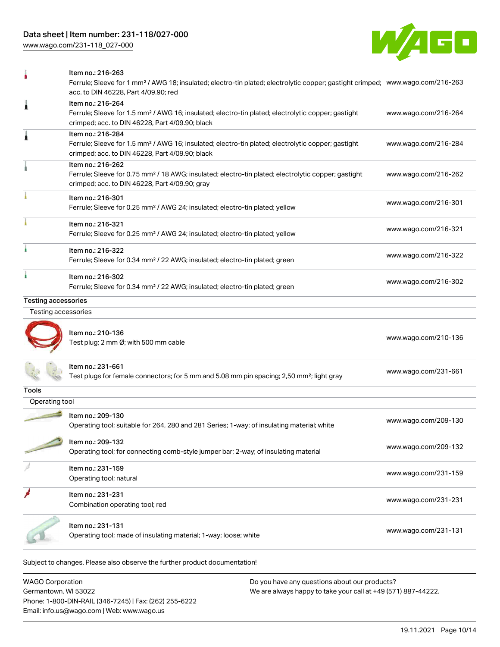[www.wago.com/231-118\\_027-000](http://www.wago.com/231-118_027-000)



|                     | Item no.: 216-263<br>Ferrule; Sleeve for 1 mm <sup>2</sup> / AWG 18; insulated; electro-tin plated; electrolytic copper; gastight crimped; www.wago.com/216-263<br>acc. to DIN 46228, Part 4/09.90; red |                      |
|---------------------|---------------------------------------------------------------------------------------------------------------------------------------------------------------------------------------------------------|----------------------|
|                     | Item no.: 216-264<br>Ferrule; Sleeve for 1.5 mm <sup>2</sup> / AWG 16; insulated; electro-tin plated; electrolytic copper; gastight<br>crimped; acc. to DIN 46228, Part 4/09.90; black                  | www.wago.com/216-264 |
|                     | Item no.: 216-284<br>Ferrule; Sleeve for 1.5 mm <sup>2</sup> / AWG 16; insulated; electro-tin plated; electrolytic copper; gastight<br>crimped; acc. to DIN 46228, Part 4/09.90; black                  | www.wago.com/216-284 |
|                     | Item no.: 216-262<br>Ferrule; Sleeve for 0.75 mm <sup>2</sup> / 18 AWG; insulated; electro-tin plated; electrolytic copper; gastight<br>crimped; acc. to DIN 46228, Part 4/09.90; gray                  | www.wago.com/216-262 |
|                     | Item no.: 216-301<br>Ferrule; Sleeve for 0.25 mm <sup>2</sup> / AWG 24; insulated; electro-tin plated; yellow                                                                                           | www.wago.com/216-301 |
|                     | Item no.: 216-321<br>Ferrule; Sleeve for 0.25 mm <sup>2</sup> / AWG 24; insulated; electro-tin plated; yellow                                                                                           | www.wago.com/216-321 |
|                     | Item no.: 216-322<br>Ferrule; Sleeve for 0.34 mm <sup>2</sup> / 22 AWG; insulated; electro-tin plated; green                                                                                            | www.wago.com/216-322 |
|                     | Item no.: 216-302<br>Ferrule; Sleeve for 0.34 mm <sup>2</sup> / 22 AWG; insulated; electro-tin plated; green                                                                                            | www.wago.com/216-302 |
| Testing accessories |                                                                                                                                                                                                         |                      |
| Testing accessories |                                                                                                                                                                                                         |                      |
|                     | Item no.: 210-136<br>Test plug; 2 mm Ø; with 500 mm cable                                                                                                                                               | www.wago.com/210-136 |
|                     | ltem no.: 231-661<br>Test plugs for female connectors; for 5 mm and 5.08 mm pin spacing; 2,50 mm <sup>2</sup> ; light gray                                                                              | www.wago.com/231-661 |
| Tools               |                                                                                                                                                                                                         |                      |
| Operating tool      |                                                                                                                                                                                                         |                      |
|                     | Item no.: 209-130<br>Operating tool; suitable for 264, 280 and 281 Series; 1-way; of insulating material; white                                                                                         | www.wago.com/209-130 |
|                     | Item no.: 209-132<br>Operating tool; for connecting comb-style jumper bar; 2-way; of insulating material                                                                                                | www.wago.com/209-132 |
|                     | Item no.: 231-159<br>Operating tool; natural                                                                                                                                                            | www.wago.com/231-159 |
|                     | Item no.: 231-231<br>Combination operating tool; red                                                                                                                                                    | www.wago.com/231-231 |
|                     | Item no.: 231-131<br>Operating tool; made of insulating material; 1-way; loose; white                                                                                                                   | www.wago.com/231-131 |
|                     | Subject to changes. Please also observe the further product documentation!                                                                                                                              |                      |

WAGO Corporation Germantown, WI 53022 Phone: 1-800-DIN-RAIL (346-7245) | Fax: (262) 255-6222 Email: info.us@wago.com | Web: www.wago.us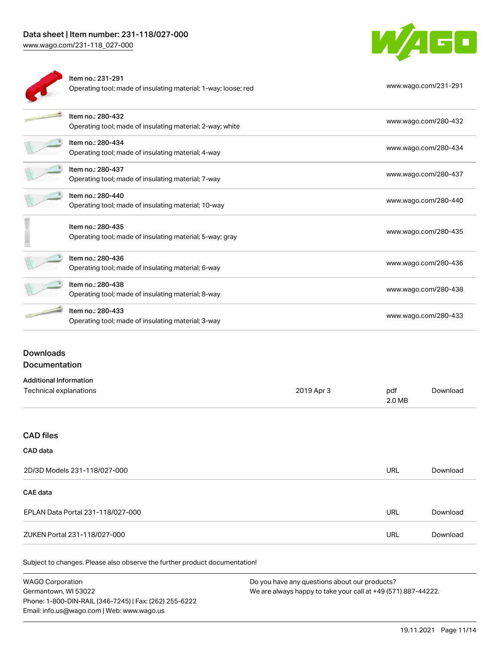ä.



| Item no.: 231-291<br>Operating tool; made of insulating material; 1-way; loose; red | www.wago.com/231-291 |
|-------------------------------------------------------------------------------------|----------------------|
| Item no.: 280-432<br>Operating tool; made of insulating material; 2-way; white      | www.wago.com/280-432 |
| Item no.: 280-434<br>Operating tool; made of insulating material; 4-way             | www.wago.com/280-434 |
| Item no.: 280-437<br>Operating tool; made of insulating material; 7-way             | www.wago.com/280-437 |
| Item no.: 280-440<br>Operating tool; made of insulating material; 10-way            | www.wago.com/280-440 |
| Item no.: 280-435<br>Operating tool; made of insulating material; 5-way; gray       | www.wago.com/280-435 |
| Item no.: 280-436<br>Operating tool; made of insulating material; 6-way             | www.wago.com/280-436 |
| Item no.: 280-438<br>Operating tool; made of insulating material; 8-way             | www.wago.com/280-438 |
| Item no.: 280-433<br>Operating tool; made of insulating material; 3-way             | www.wago.com/280-433 |
|                                                                                     |                      |

## Downloads Documentation

| <b>Additional Information</b> |            |        |          |
|-------------------------------|------------|--------|----------|
| Technical explanations        | 2019 Apr 3 | pdf    | Download |
|                               |            | 2.0 MB |          |

# CAD files

## CAD data

| 2D/3D Models 231-118/027-000      | URL | Download |
|-----------------------------------|-----|----------|
| <b>CAE data</b>                   |     |          |
| EPLAN Data Portal 231-118/027-000 | URL | Download |
| ZUKEN Portal 231-118/027-000      | URL | Download |

Subject to changes. Please also observe the further product documentation!

WAGO Corporation Germantown, WI 53022 Phone: 1-800-DIN-RAIL (346-7245) | Fax: (262) 255-6222 Email: info.us@wago.com | Web: www.wago.us Do you have any questions about our products? We are always happy to take your call at +49 (571) 887-44222.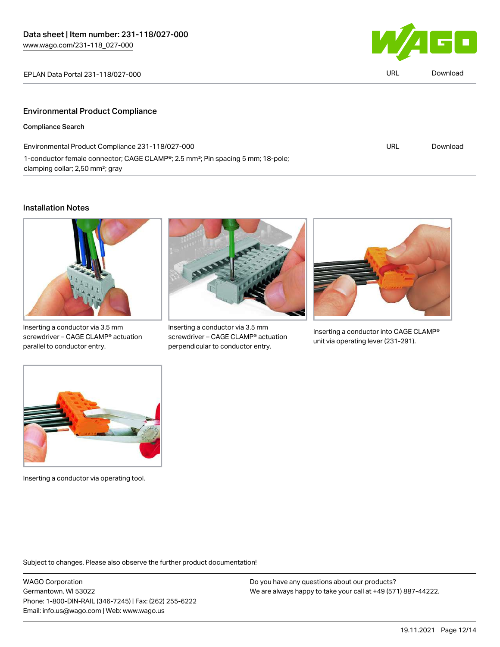

| EPLAN Data Portal 231-118/027-000       | <b>URL</b> | Download |
|-----------------------------------------|------------|----------|
|                                         |            |          |
| <b>Environmental Product Compliance</b> |            |          |
| Compliance Search                       |            |          |

| Environmental Product Compliance 231-118/027-000                                            | URL | Download |
|---------------------------------------------------------------------------------------------|-----|----------|
| 1-conductor female connector; CAGE CLAMP®; 2.5 mm <sup>2</sup> ; Pin spacing 5 mm; 18-pole; |     |          |
| clamping collar; 2,50 mm <sup>2</sup> ; gray                                                |     |          |

# Installation Notes



Inserting a conductor via 3.5 mm screwdriver – CAGE CLAMP® actuation parallel to conductor entry.



Inserting a conductor via 3.5 mm screwdriver – CAGE CLAMP® actuation perpendicular to conductor entry.



Inserting a conductor into CAGE CLAMP® unit via operating lever (231-291).



Inserting a conductor via operating tool.

Subject to changes. Please also observe the further product documentation!

WAGO Corporation Germantown, WI 53022 Phone: 1-800-DIN-RAIL (346-7245) | Fax: (262) 255-6222 Email: info.us@wago.com | Web: www.wago.us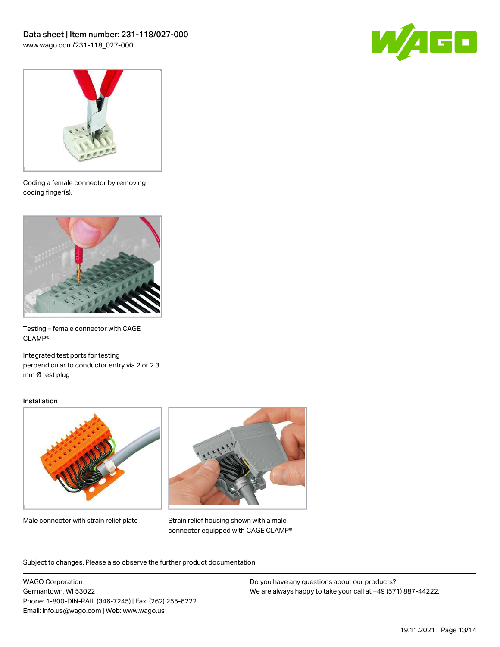



Coding a female connector by removing coding finger(s).



Testing – female connector with CAGE CLAMP®

Integrated test ports for testing perpendicular to conductor entry via 2 or 2.3 mm Ø test plug

#### Installation



Male connector with strain relief plate



Strain relief housing shown with a male connector equipped with CAGE CLAMP®

Subject to changes. Please also observe the further product documentation!

WAGO Corporation Germantown, WI 53022 Phone: 1-800-DIN-RAIL (346-7245) | Fax: (262) 255-6222 Email: info.us@wago.com | Web: www.wago.us